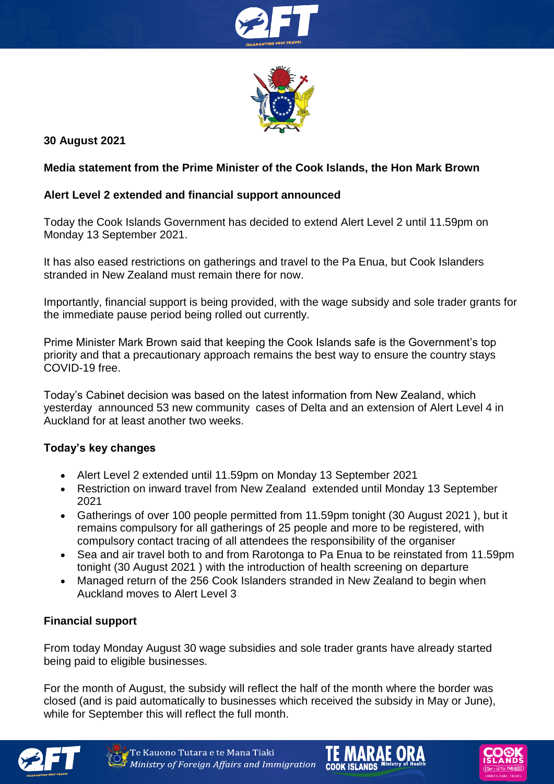



# **30 August 2021**

### **Media statement from the Prime Minister of the Cook Islands, the Hon Mark Brown**

## **Alert Level 2 extended and financial support announced**

Today the Cook Islands Government has decided to extend Alert Level 2 until 11.59pm on Monday 13 September 2021.

It has also eased restrictions on gatherings and travel to the Pa Enua, but Cook Islanders stranded in New Zealand must remain there for now.

Importantly, financial support is being provided, with the wage subsidy and sole trader grants for the immediate pause period being rolled out currently.

Prime Minister Mark Brown said that keeping the Cook Islands safe is the Government's top priority and that a precautionary approach remains the best way to ensure the country stays COVID-19 free.

Today's Cabinet decision was based on the latest information from New Zealand, which yesterday announced 53 new community cases of Delta and an extension of Alert Level 4 in Auckland for at least another two weeks.

### **Today's key changes**

- Alert Level 2 extended until 11.59pm on Monday 13 September 2021
- Restriction on inward travel from New Zealand extended until Monday 13 September 2021
- Gatherings of over 100 people permitted from 11.59pm tonight (30 August 2021 ), but it remains compulsory for all gatherings of 25 people and more to be registered, with compulsory contact tracing of all attendees the responsibility of the organiser
- Sea and air travel both to and from Rarotonga to Pa Enua to be reinstated from 11.59pm tonight (30 August 2021 ) with the introduction of health screening on departure
- Managed return of the 256 Cook Islanders stranded in New Zealand to begin when Auckland moves to Alert Level 3

### **Financial support**

From today Monday August 30 wage subsidies and sole trader grants have already started being paid to eligible businesses.

For the month of August, the subsidy will reflect the half of the month where the border was closed (and is paid automatically to businesses which received the subsidy in May or June), while for September this will reflect the full month.